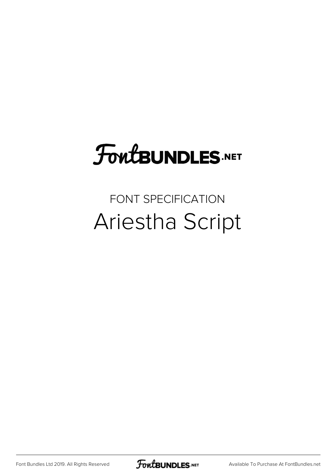## FoutBUNDLES.NET

## FONT SPECIFICATION Ariestha Script

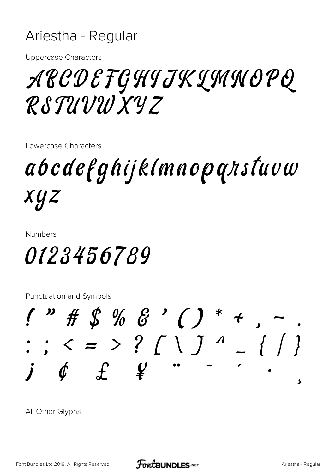## Ariestha - Regular

**Uppercase Characters** 

## APCDEFGHIJKIMNOPQ RSTUVWXYZ

Lowercase Characters

abcdefghijklmnopqnstuvw xyz

**Numbers** 

0123456789

**Punctuation and Symbols** 



All Other Glyphs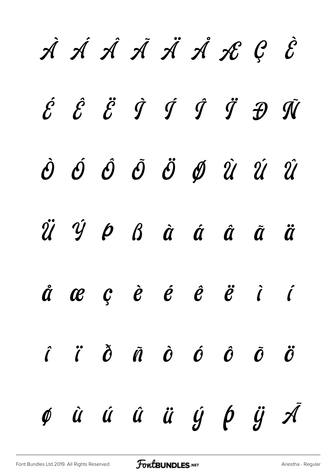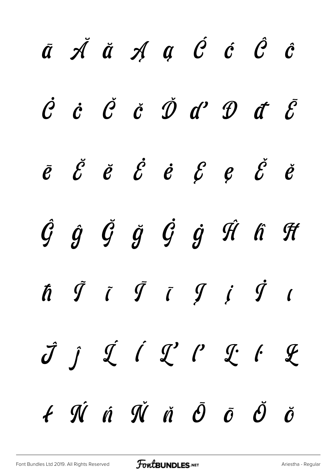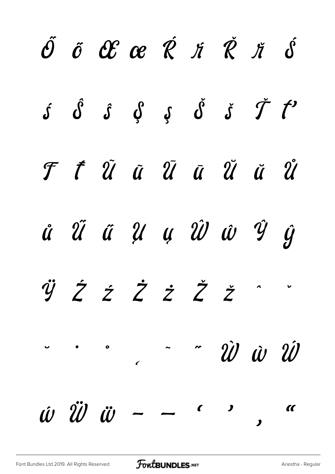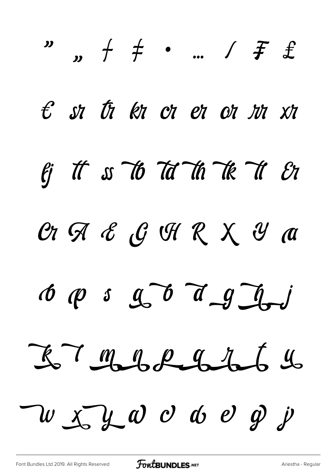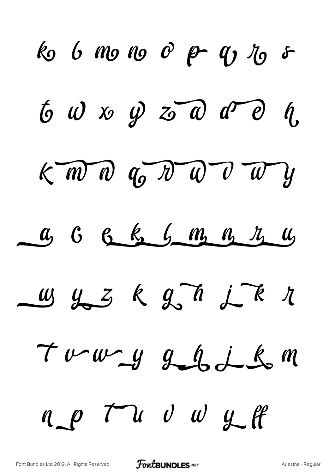